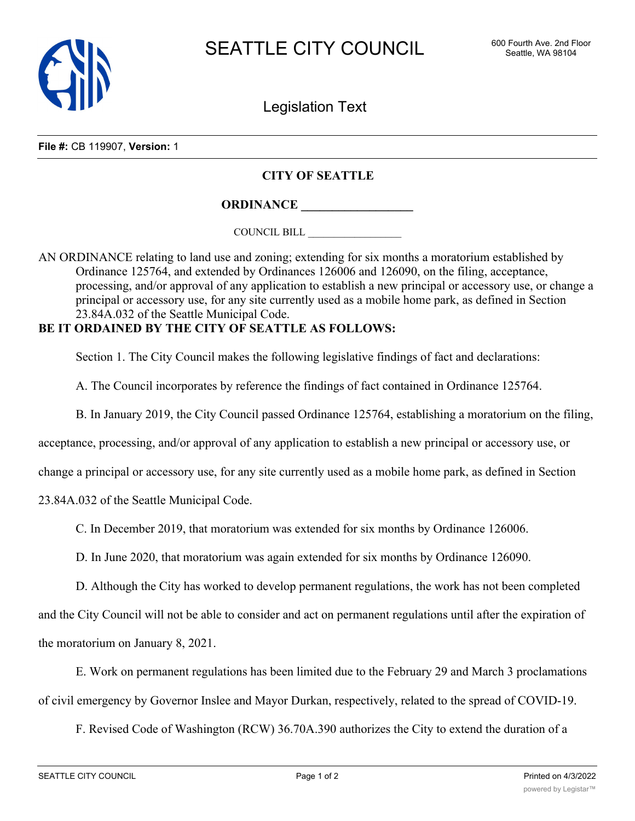

Legislation Text

**File #:** CB 119907, **Version:** 1

## **CITY OF SEATTLE**

**ORDINANCE \_\_\_\_\_\_\_\_\_\_\_\_\_\_\_\_\_\_**

COUNCIL BILL \_\_\_\_\_\_\_\_\_\_\_\_\_\_\_\_\_\_

AN ORDINANCE relating to land use and zoning; extending for six months a moratorium established by Ordinance 125764, and extended by Ordinances 126006 and 126090, on the filing, acceptance, processing, and/or approval of any application to establish a new principal or accessory use, or change a principal or accessory use, for any site currently used as a mobile home park, as defined in Section 23.84A.032 of the Seattle Municipal Code.

## **BE IT ORDAINED BY THE CITY OF SEATTLE AS FOLLOWS:**

Section 1. The City Council makes the following legislative findings of fact and declarations:

A. The Council incorporates by reference the findings of fact contained in Ordinance 125764.

B. In January 2019, the City Council passed Ordinance 125764, establishing a moratorium on the filing,

acceptance, processing, and/or approval of any application to establish a new principal or accessory use, or

change a principal or accessory use, for any site currently used as a mobile home park, as defined in Section

23.84A.032 of the Seattle Municipal Code.

C. In December 2019, that moratorium was extended for six months by Ordinance 126006.

D. In June 2020, that moratorium was again extended for six months by Ordinance 126090.

D. Although the City has worked to develop permanent regulations, the work has not been completed

and the City Council will not be able to consider and act on permanent regulations until after the expiration of the moratorium on January 8, 2021.

E. Work on permanent regulations has been limited due to the February 29 and March 3 proclamations of civil emergency by Governor Inslee and Mayor Durkan, respectively, related to the spread of COVID-19.

F. Revised Code of Washington (RCW) 36.70A.390 authorizes the City to extend the duration of a